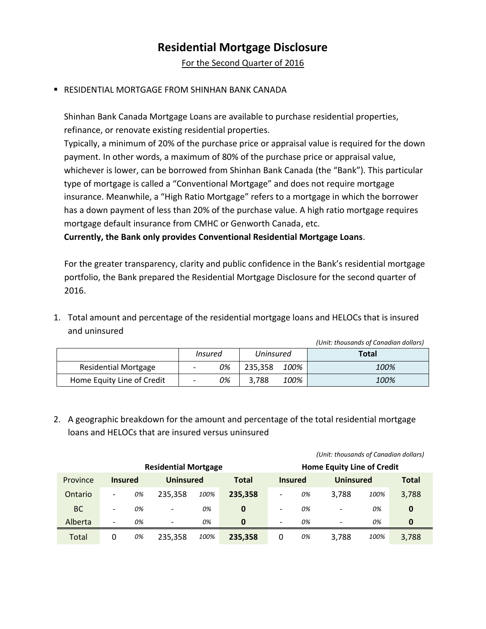## **Residential Mortgage Disclosure**

For the Second Quarter of 2016

## RESIDENTIAL MORTGAGE FROM SHINHAN BANK CANADA

Shinhan Bank Canada Mortgage Loans are available to purchase residential properties, refinance, or renovate existing residential properties.

Typically, a minimum of 20% of the purchase price or appraisal value is required for the down payment. In other words, a maximum of 80% of the purchase price or appraisal value, whichever is lower, can be borrowed from Shinhan Bank Canada (the "Bank"). This particular type of mortgage is called a "Conventional Mortgage" and does not require mortgage insurance. Meanwhile, a "High Ratio Mortgage" refers to a mortgage in which the borrower has a down payment of less than 20% of the purchase value. A high ratio mortgage requires mortgage default insurance from CMHC or Genworth Canada, etc.

**Currently, the Bank only provides Conventional Residential Mortgage Loans**.

For the greater transparency, clarity and public confidence in the Bank's residential mortgage portfolio, the Bank prepared the Residential Mortgage Disclosure for the second quarter of 2016.

1. Total amount and percentage of the residential mortgage loans and HELOCs that is insured and uninsured

|  |  | (Unit: thousands of Canadian dollars) |
|--|--|---------------------------------------|
|  |  |                                       |

*(Unit: thousands of Canadian dollars)*

|                            | Insured                  |    | Uninsured |      | Total |
|----------------------------|--------------------------|----|-----------|------|-------|
| Residential Mortgage       |                          | 0% | 235.358   | 100% | 100%  |
| Home Equity Line of Credit | $\overline{\phantom{0}}$ | 0% | 3.788     | 100% | 100%  |

2. A geographic breakdown for the amount and percentage of the total residential mortgage loans and HELOCs that are insured versus uninsured

|                             |                          |    |                          |      |                                   |                          |                | roma anousunus or cunuulun uolluis) |      |              |
|-----------------------------|--------------------------|----|--------------------------|------|-----------------------------------|--------------------------|----------------|-------------------------------------|------|--------------|
| <b>Residential Mortgage</b> |                          |    |                          |      | <b>Home Equity Line of Credit</b> |                          |                |                                     |      |              |
| Province                    | <b>Insured</b>           |    | <b>Uninsured</b>         |      | <b>Total</b>                      |                          | <b>Insured</b> | <b>Uninsured</b>                    |      | <b>Total</b> |
| Ontario                     | $\overline{\phantom{a}}$ | 0% | 235.358                  | 100% | 235,358                           | $\overline{\phantom{a}}$ | 0%             | 3,788                               | 100% | 3,788        |
| <b>BC</b>                   | $\overline{\phantom{a}}$ | 0% | $\overline{\phantom{0}}$ | 0%   | 0                                 | $\overline{\phantom{0}}$ | 0%             | $\overline{\phantom{0}}$            | 0%   | 0            |
| Alberta                     | $\overline{\phantom{a}}$ | 0% | $\overline{\phantom{a}}$ | 0%   | 0                                 | $\overline{\phantom{0}}$ | 0%             | $\overline{\phantom{a}}$            | 0%   | 0            |
| Total                       | 0                        | 0% | 235,358                  | 100% | 235,358                           | 0                        | 0%             | 3,788                               | 100% | 3,788        |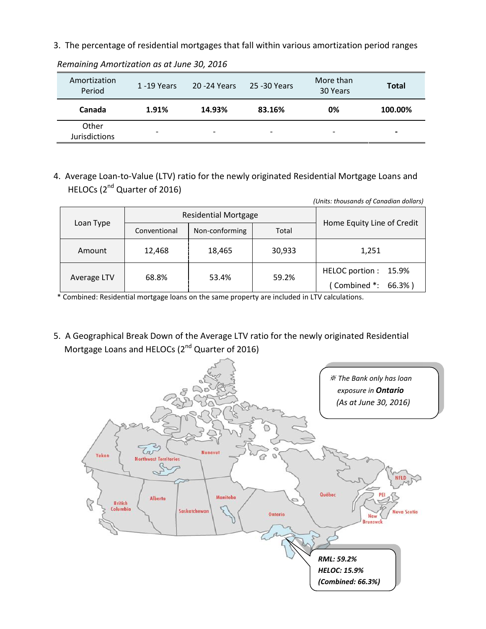3. The percentage of residential mortgages that fall within various amortization period ranges

| Amortization<br>Period        | 1 -19 Years              | 20 -24 Years             | 25 -30 Years             | More than<br>30 Years | <b>Total</b>             |
|-------------------------------|--------------------------|--------------------------|--------------------------|-----------------------|--------------------------|
| Canada                        | 1.91%                    | 14.93%                   | 83.16%                   | 0%                    | 100.00%                  |
| Other<br><b>Jurisdictions</b> | $\overline{\phantom{a}}$ | $\overline{\phantom{a}}$ | $\overline{\phantom{a}}$ | -                     | $\overline{\phantom{0}}$ |

*Remaining Amortization as at June 30, 2016*

4. Average Loan-to-Value (LTV) ratio for the newly originated Residential Mortgage Loans and HELOCs (2<sup>nd</sup> Quarter of 2016)

| (Units: thousands of Canadian dollars) |        |                             |        |                                                |  |  |  |
|----------------------------------------|--------|-----------------------------|--------|------------------------------------------------|--|--|--|
|                                        |        | <b>Residential Mortgage</b> |        |                                                |  |  |  |
| Loan Type<br>Conventional              |        | Non-conforming              | Total  | Home Equity Line of Credit                     |  |  |  |
| Amount                                 | 12,468 | 18,465                      | 30,933 | 1,251                                          |  |  |  |
| Average LTV                            | 68.8%  | 53.4%                       | 59.2%  | HELOC portion: 15.9%<br>(Combined *:<br>66.3%) |  |  |  |

\* Combined: Residential mortgage loans on the same property are included in LTV calculations.

5. A Geographical Break Down of the Average LTV ratio for the newly originated Residential Mortgage Loans and HELOCs (2<sup>nd</sup> Quarter of 2016)